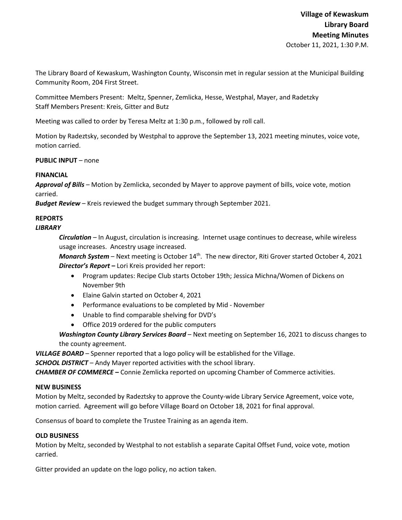The Library Board of Kewaskum, Washington County, Wisconsin met in regular session at the Municipal Building Community Room, 204 First Street.

Committee Members Present: Meltz, Spenner, Zemlicka, Hesse, Westphal, Mayer, and Radetzky Staff Members Present: Kreis, Gitter and Butz

Meeting was called to order by Teresa Meltz at 1:30 p.m., followed by roll call.

Motion by Radeztsky, seconded by Westphal to approve the September 13, 2021 meeting minutes, voice vote, motion carried.

**PUBLIC INPUT** – none

### **FINANCIAL**

*Approval of Bills –* Motion by Zemlicka, seconded by Mayer to approve payment of bills, voice vote, motion carried.

*Budget Review* – Kreis reviewed the budget summary through September 2021.

# **REPORTS**

## *LIBRARY*

*Circulation* – In August, circulation is increasing. Internet usage continues to decrease, while wireless usage increases. Ancestry usage increased.

*Monarch System* – Next meeting is October 14<sup>th</sup>. The new director, Riti Grover started October 4, 2021 *Director's Report* **–** Lori Kreis provided her report:

- Program updates: Recipe Club starts October 19th; Jessica Michna/Women of Dickens on November 9th
- Elaine Galvin started on October 4, 2021
- Performance evaluations to be completed by Mid November
- Unable to find comparable shelving for DVD's
- Office 2019 ordered for the public computers

*Washington County Library Services Board* – Next meeting on September 16, 2021 to discuss changes to the county agreement.

*VILLAGE BOARD* – Spenner reported that a logo policy will be established for the Village.

*SCHOOL DISTRICT* – Andy Mayer reported activities with the school library.

*CHAMBER OF COMMERCE –* Connie Zemlicka reported on upcoming Chamber of Commerce activities.

### **NEW BUSINESS**

Motion by Meltz, seconded by Radeztsky to approve the County-wide Library Service Agreement, voice vote, motion carried. Agreement will go before Village Board on October 18, 2021 for final approval.

Consensus of board to complete the Trustee Training as an agenda item.

### **OLD BUSINESS**

Motion by Meltz, seconded by Westphal to not establish a separate Capital Offset Fund, voice vote, motion carried.

Gitter provided an update on the logo policy, no action taken.